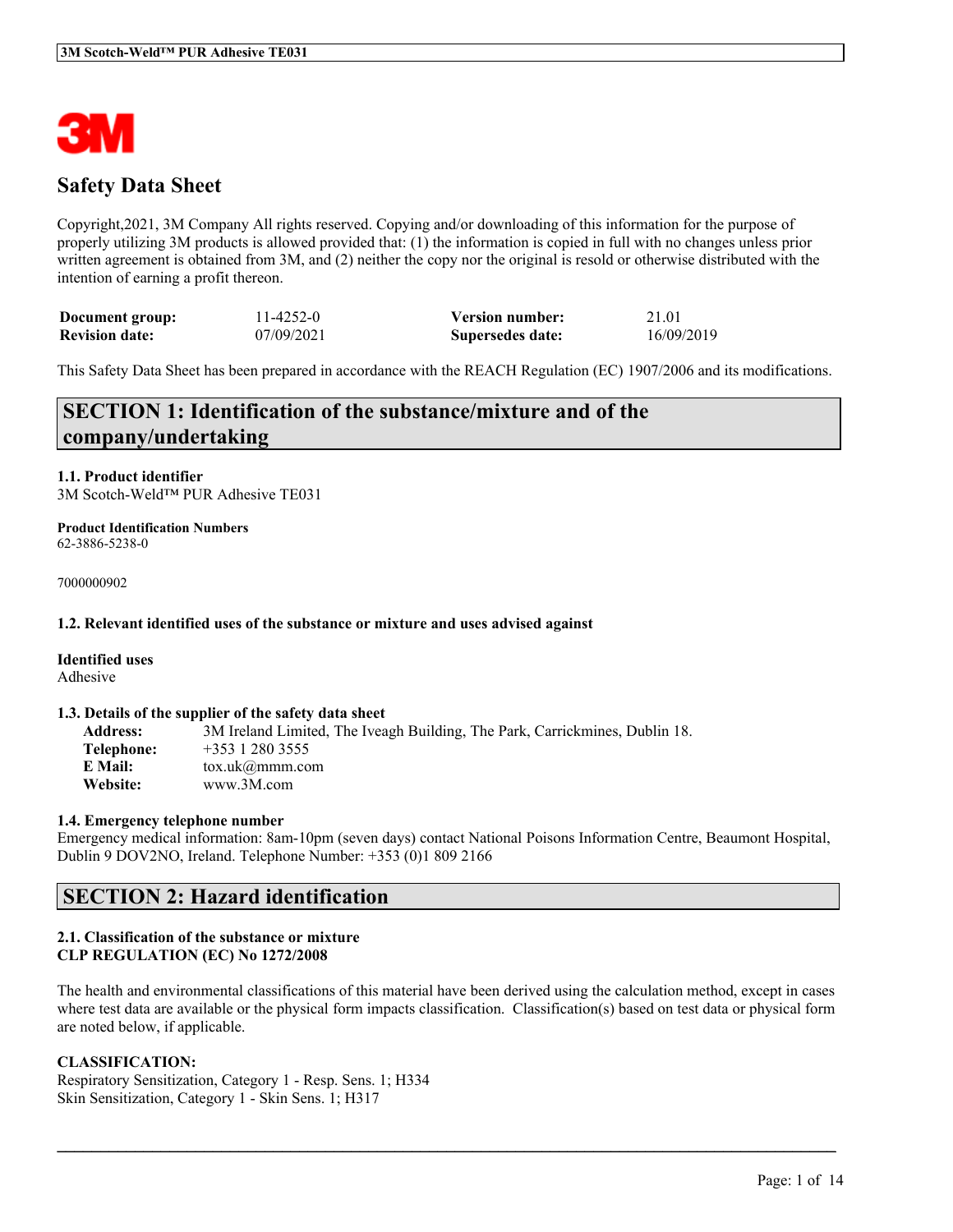

# **Safety Data Sheet**

Copyright,2021, 3M Company All rights reserved. Copying and/or downloading of this information for the purpose of properly utilizing 3M products is allowed provided that: (1) the information is copied in full with no changes unless prior written agreement is obtained from 3M, and (2) neither the copy nor the original is resold or otherwise distributed with the intention of earning a profit thereon.

| Document group:       | 11-4252-0  | <b>Version number:</b> | 21.01      |
|-----------------------|------------|------------------------|------------|
| <b>Revision date:</b> | 07/09/2021 | Supersedes date:       | 16/09/2019 |

This Safety Data Sheet has been prepared in accordance with the REACH Regulation (EC) 1907/2006 and its modifications.

# **SECTION 1: Identification of the substance/mixture and of the company/undertaking**

#### **1.1. Product identifier** 3M Scotch-Weld™ PUR Adhesive TE031

**Product Identification Numbers** 62-3886-5238-0

7000000902

#### **1.2. Relevant identified uses of the substance or mixture and uses advised against**

## **Identified uses**

Adhesive

#### **1.3. Details of the supplier of the safety data sheet**

**Address:** 3M Ireland Limited, The Iveagh Building, The Park, Carrickmines, Dublin 18. **Telephone:** +353 1 280 3555 **E Mail:** tox.uk@mmm.com **Website:** www.3M.com

#### **1.4. Emergency telephone number**

Emergency medical information: 8am-10pm (seven days) contact National Poisons Information Centre, Beaumont Hospital, Dublin 9 DOV2NO, Ireland. Telephone Number: +353 (0)1 809 2166

# **SECTION 2: Hazard identification**

### **2.1. Classification of the substance or mixture CLP REGULATION (EC) No 1272/2008**

The health and environmental classifications of this material have been derived using the calculation method, except in cases where test data are available or the physical form impacts classification. Classification(s) based on test data or physical form are noted below, if applicable.

 $\mathcal{L}_\mathcal{L} = \mathcal{L}_\mathcal{L} = \mathcal{L}_\mathcal{L} = \mathcal{L}_\mathcal{L} = \mathcal{L}_\mathcal{L} = \mathcal{L}_\mathcal{L} = \mathcal{L}_\mathcal{L} = \mathcal{L}_\mathcal{L} = \mathcal{L}_\mathcal{L} = \mathcal{L}_\mathcal{L} = \mathcal{L}_\mathcal{L} = \mathcal{L}_\mathcal{L} = \mathcal{L}_\mathcal{L} = \mathcal{L}_\mathcal{L} = \mathcal{L}_\mathcal{L} = \mathcal{L}_\mathcal{L} = \mathcal{L}_\mathcal{L}$ 

## **CLASSIFICATION:**

Respiratory Sensitization, Category 1 - Resp. Sens. 1; H334 Skin Sensitization, Category 1 - Skin Sens. 1; H317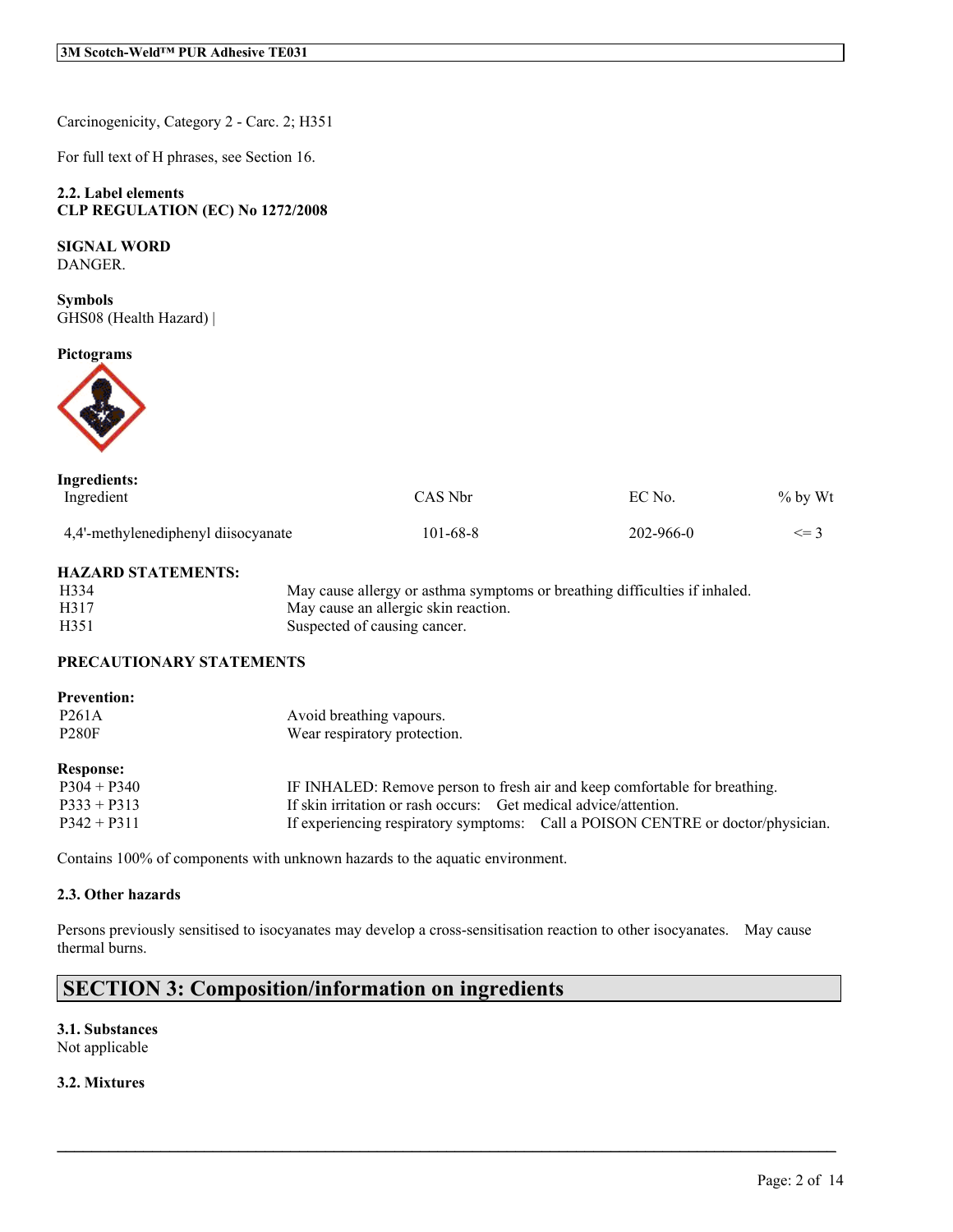Carcinogenicity, Category 2 - Carc. 2; H351

For full text of H phrases, see Section 16.

## **2.2. Label elements CLP REGULATION (EC) No 1272/2008**

## **SIGNAL WORD**

DANGER.

**Symbols** GHS08 (Health Hazard) |

#### **Pictograms**



| Ingredients:                        |          |                 |            |
|-------------------------------------|----------|-----------------|------------|
| Ingredient                          | CAS Nbr  | EC No.          | $\%$ by Wt |
| 4,4'-methylenediphenyl diisocyanate | 101-68-8 | $202 - 966 - 0$ | $\leq$ 3   |

### **HAZARD STATEMENTS:**

| H334 | May cause allergy or asthma symptoms or breathing difficulties if inhaled. |
|------|----------------------------------------------------------------------------|
| H317 | May cause an allergic skin reaction.                                       |
| H351 | Suspected of causing cancer.                                               |

## **PRECAUTIONARY STATEMENTS**

| <b>Prevention:</b> |                                                                                 |
|--------------------|---------------------------------------------------------------------------------|
| P <sub>261</sub> A | Avoid breathing vapours.                                                        |
| <b>P280F</b>       | Wear respiratory protection.                                                    |
| <b>Response:</b>   |                                                                                 |
| $P304 + P340$      | IF INHALED: Remove person to fresh air and keep comfortable for breathing.      |
| $P333 + P313$      | If skin irritation or rash occurs: Get medical advice/attention.                |
| $P342 + P311$      | If experiencing respiratory symptoms: Call a POISON CENTRE or doctor/physician. |

Contains 100% of components with unknown hazards to the aquatic environment.

### **2.3. Other hazards**

Persons previously sensitised to isocyanates may develop a cross-sensitisation reaction to other isocyanates. May cause thermal burns.

 $\mathcal{L}_\mathcal{L} = \mathcal{L}_\mathcal{L} = \mathcal{L}_\mathcal{L} = \mathcal{L}_\mathcal{L} = \mathcal{L}_\mathcal{L} = \mathcal{L}_\mathcal{L} = \mathcal{L}_\mathcal{L} = \mathcal{L}_\mathcal{L} = \mathcal{L}_\mathcal{L} = \mathcal{L}_\mathcal{L} = \mathcal{L}_\mathcal{L} = \mathcal{L}_\mathcal{L} = \mathcal{L}_\mathcal{L} = \mathcal{L}_\mathcal{L} = \mathcal{L}_\mathcal{L} = \mathcal{L}_\mathcal{L} = \mathcal{L}_\mathcal{L}$ 

# **SECTION 3: Composition/information on ingredients**

### **3.1. Substances** Not applicable

## **3.2. Mixtures**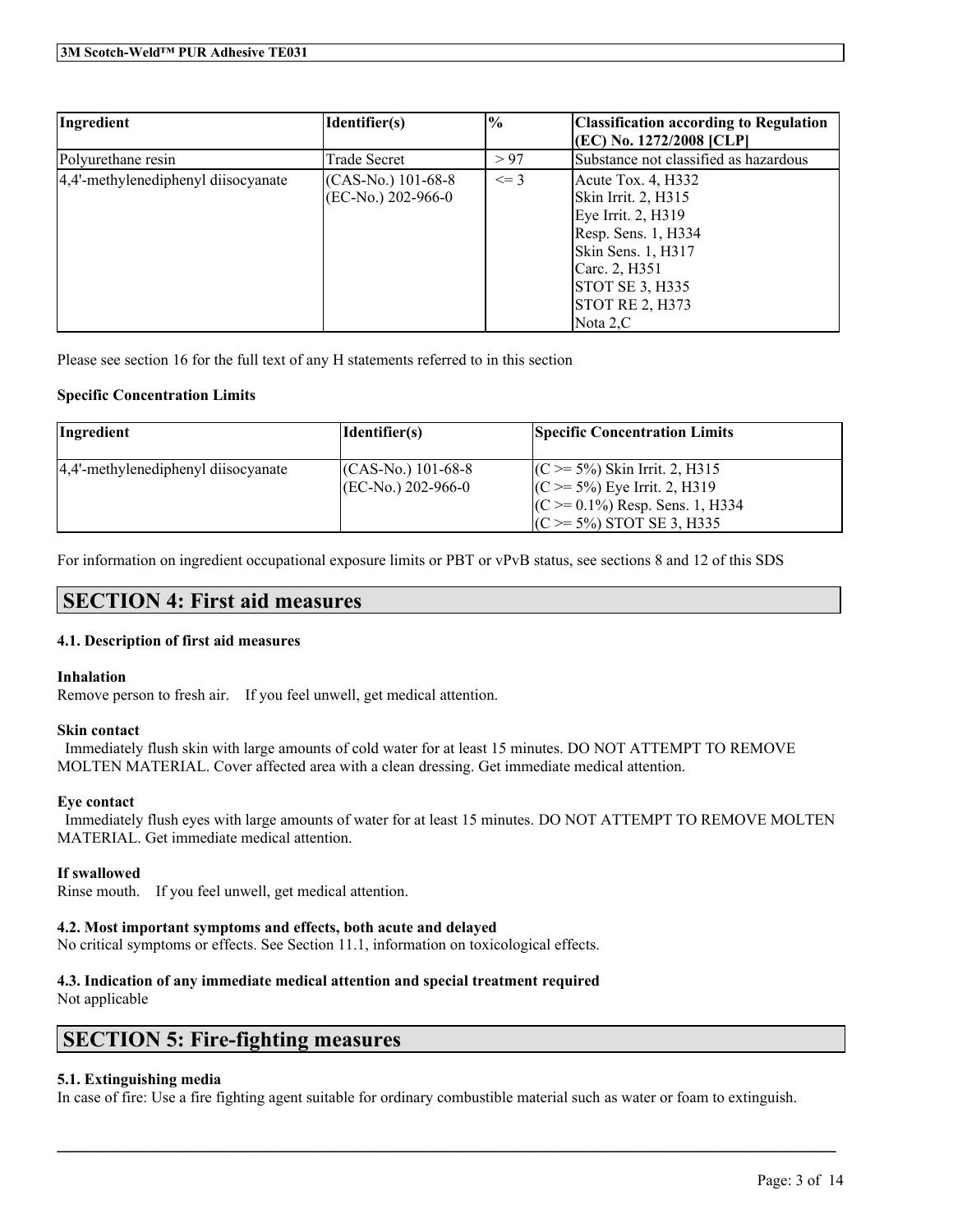| Ingredient                          | Identifier(s)       | $\%$     | <b>Classification according to Regulation</b> |
|-------------------------------------|---------------------|----------|-----------------------------------------------|
|                                     |                     |          | (EC) No. 1272/2008 [CLP]                      |
| Polyurethane resin                  | Trade Secret        | > 97     | Substance not classified as hazardous         |
| 4,4'-methylenediphenyl diisocyanate | $(CAS-N0)$ 101-68-8 | $\leq$ 3 | Acute Tox. 4, H332                            |
|                                     | (EC-No.) 202-966-0  |          | Skin Irrit. 2, H315                           |
|                                     |                     |          | Eye Irrit. 2, H319                            |
|                                     |                     |          | Resp. Sens. 1, H334                           |
|                                     |                     |          | Skin Sens. 1, H317                            |
|                                     |                     |          | Carc. 2, H351                                 |
|                                     |                     |          | STOT SE 3, H335                               |
|                                     |                     |          | STOTRE 2, H373                                |
|                                     |                     |          | Nota $2, C$                                   |

Please see section 16 for the full text of any H statements referred to in this section

## **Specific Concentration Limits**

| Ingredient                          | Identifier(s)                              | <b>Specific Concentration Limits</b>                                                                                                          |
|-------------------------------------|--------------------------------------------|-----------------------------------------------------------------------------------------------------------------------------------------------|
| 4,4'-methylenediphenyl diisocyanate | $(CAS-N0)$ 101-68-8<br>$[EC-N0]$ 202-966-0 | $(C \ge 5\%)$ Skin Irrit. 2, H315<br>$(C \ge 5\%)$ Eye Irrit. 2, H319<br>$(C \ge 0.1\%)$ Resp. Sens. 1, H334<br>$(C \ge 5\%)$ STOT SE 3, H335 |

For information on ingredient occupational exposure limits or PBT or vPvB status, see sections 8 and 12 of this SDS

# **SECTION 4: First aid measures**

## **4.1. Description of first aid measures**

## **Inhalation**

Remove person to fresh air. If you feel unwell, get medical attention.

## **Skin contact**

Immediately flush skin with large amounts of cold water for at least 15 minutes. DO NOT ATTEMPT TO REMOVE MOLTEN MATERIAL. Cover affected area with a clean dressing. Get immediate medical attention.

## **Eye contact**

Immediately flush eyes with large amounts of water for at least 15 minutes. DO NOT ATTEMPT TO REMOVE MOLTEN MATERIAL. Get immediate medical attention.

## **If swallowed**

Rinse mouth. If you feel unwell, get medical attention.

## **4.2. Most important symptoms and effects, both acute and delayed**

No critical symptoms or effects. See Section 11.1, information on toxicological effects.

## **4.3. Indication of any immediate medical attention and special treatment required**

Not applicable

# **SECTION 5: Fire-fighting measures**

## **5.1. Extinguishing media**

In case of fire: Use a fire fighting agent suitable for ordinary combustible material such as water or foam to extinguish.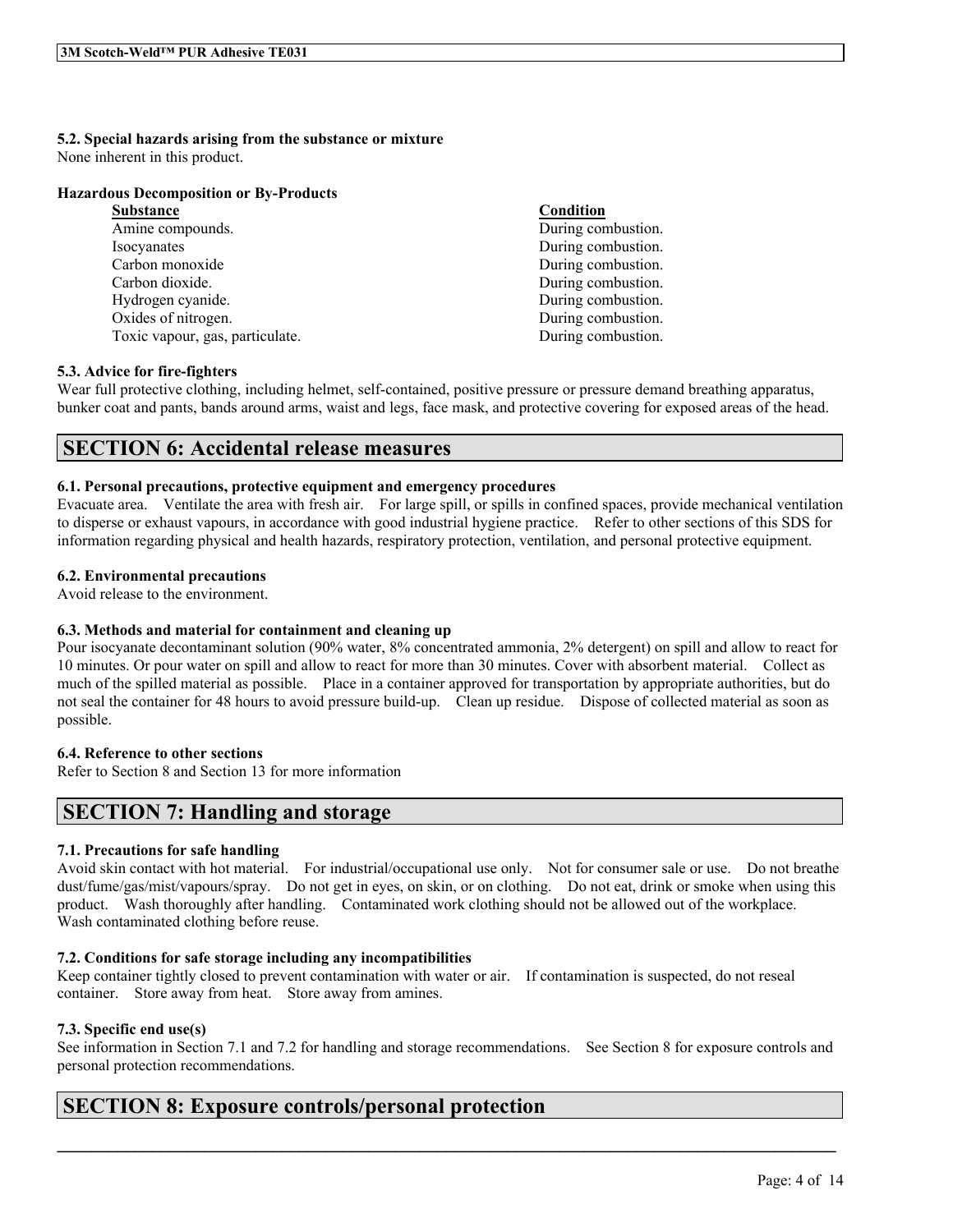# **5.2. Special hazards arising from the substance or mixture**

None inherent in this product.

### **Hazardous Decomposition or By-Products**

| <b>Substance</b>                | Condition          |
|---------------------------------|--------------------|
| Amine compounds.                | During combustion. |
| Isocyanates                     | During combustion. |
| Carbon monoxide                 | During combustion. |
| Carbon dioxide.                 | During combustion. |
| Hydrogen cyanide.               | During combustion. |
| Oxides of nitrogen.             | During combustion. |
| Toxic vapour, gas, particulate. | During combustion. |

## **5.3. Advice for fire-fighters**

Wear full protective clothing, including helmet, self-contained, positive pressure or pressure demand breathing apparatus, bunker coat and pants, bands around arms, waist and legs, face mask, and protective covering for exposed areas of the head.

## **SECTION 6: Accidental release measures**

## **6.1. Personal precautions, protective equipment and emergency procedures**

Evacuate area. Ventilate the area with fresh air. For large spill, or spills in confined spaces, provide mechanical ventilation to disperse or exhaust vapours, in accordance with good industrial hygiene practice. Refer to other sections of this SDS for information regarding physical and health hazards, respiratory protection, ventilation, and personal protective equipment.

## **6.2. Environmental precautions**

Avoid release to the environment.

## **6.3. Methods and material for containment and cleaning up**

Pour isocyanate decontaminant solution (90% water, 8% concentrated ammonia, 2% detergent) on spill and allow to react for 10 minutes. Or pour water on spill and allow to react for more than 30 minutes. Cover with absorbent material. Collect as much of the spilled material as possible. Place in a container approved for transportation by appropriate authorities, but do not seal the container for 48 hours to avoid pressure build-up. Clean up residue. Dispose of collected material as soon as possible.

## **6.4. Reference to other sections**

Refer to Section 8 and Section 13 for more information

# **SECTION 7: Handling and storage**

## **7.1. Precautions for safe handling**

Avoid skin contact with hot material. For industrial/occupational use only. Not for consumer sale or use. Do not breathe dust/fume/gas/mist/vapours/spray. Do not get in eyes, on skin, or on clothing. Do not eat, drink or smoke when using this product. Wash thoroughly after handling. Contaminated work clothing should not be allowed out of the workplace. Wash contaminated clothing before reuse.

## **7.2. Conditions for safe storage including any incompatibilities**

Keep container tightly closed to prevent contamination with water or air. If contamination is suspected, do not reseal container. Store away from heat. Store away from amines.

## **7.3. Specific end use(s)**

See information in Section 7.1 and 7.2 for handling and storage recommendations. See Section 8 for exposure controls and personal protection recommendations.

 $\mathcal{L}_\mathcal{L} = \mathcal{L}_\mathcal{L} = \mathcal{L}_\mathcal{L} = \mathcal{L}_\mathcal{L} = \mathcal{L}_\mathcal{L} = \mathcal{L}_\mathcal{L} = \mathcal{L}_\mathcal{L} = \mathcal{L}_\mathcal{L} = \mathcal{L}_\mathcal{L} = \mathcal{L}_\mathcal{L} = \mathcal{L}_\mathcal{L} = \mathcal{L}_\mathcal{L} = \mathcal{L}_\mathcal{L} = \mathcal{L}_\mathcal{L} = \mathcal{L}_\mathcal{L} = \mathcal{L}_\mathcal{L} = \mathcal{L}_\mathcal{L}$ 

# **SECTION 8: Exposure controls/personal protection**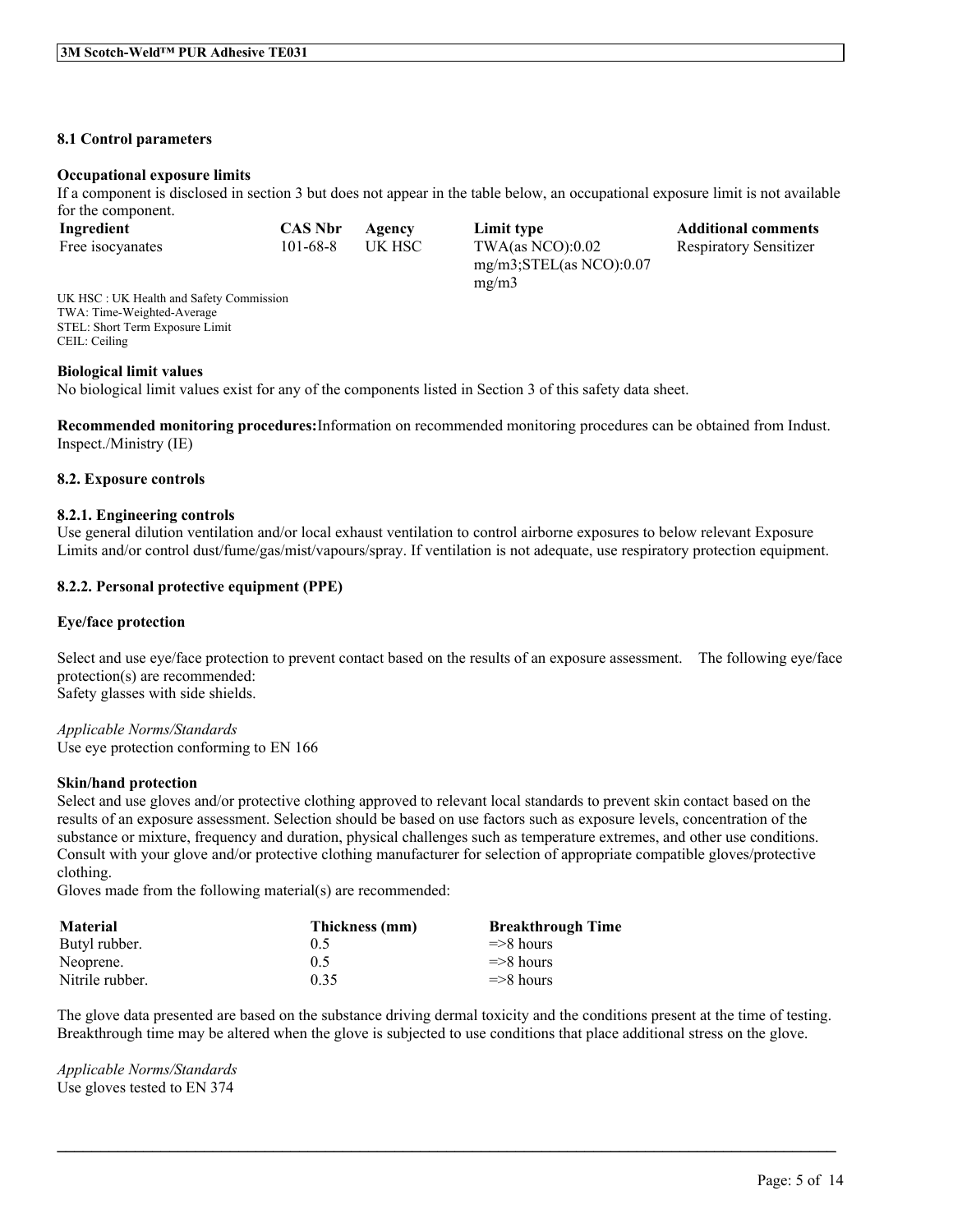#### **8.1 Control parameters**

#### **Occupational exposure limits**

If a component is disclosed in section 3 but does not appear in the table below, an occupational exposure limit is not available for the component.

| Ingredient       | <b>CAS Nbr</b> | Agency | Limit type                   | <b>Additional comments</b>    |
|------------------|----------------|--------|------------------------------|-------------------------------|
| Free isocyanates | 101-68-8       | UK HSC | TWA(as NCO): $0.02$          | <b>Respiratory Sensitizer</b> |
|                  |                |        | $mg/m3$ ; STEL(as NCO): 0.07 |                               |

mg/m3

UK HSC : UK Health and Safety Commission TWA: Time-Weighted-Average STEL: Short Term Exposure Limit CEIL: Ceiling

#### **Biological limit values**

No biological limit values exist for any of the components listed in Section 3 of this safety data sheet.

**Recommended monitoring procedures:**Information on recommended monitoring procedures can be obtained from Indust. Inspect./Ministry (IE)

#### **8.2. Exposure controls**

#### **8.2.1. Engineering controls**

Use general dilution ventilation and/or local exhaust ventilation to control airborne exposures to below relevant Exposure Limits and/or control dust/fume/gas/mist/vapours/spray. If ventilation is not adequate, use respiratory protection equipment.

### **8.2.2. Personal protective equipment (PPE)**

#### **Eye/face protection**

Select and use eye/face protection to prevent contact based on the results of an exposure assessment. The following eye/face protection(s) are recommended: Safety glasses with side shields.

*Applicable Norms/Standards* Use eye protection conforming to EN 166

#### **Skin/hand protection**

Select and use gloves and/or protective clothing approved to relevant local standards to prevent skin contact based on the results of an exposure assessment. Selection should be based on use factors such as exposure levels, concentration of the substance or mixture, frequency and duration, physical challenges such as temperature extremes, and other use conditions. Consult with your glove and/or protective clothing manufacturer for selection of appropriate compatible gloves/protective clothing.

Gloves made from the following material(s) are recommended:

| <b>Material</b> | Thickness (mm) | <b>Breakthrough Time</b> |
|-----------------|----------------|--------------------------|
| Butyl rubber.   | 0.5            | $\Rightarrow$ 8 hours    |
| Neoprene.       | 0.5            | $\Rightarrow$ 8 hours    |
| Nitrile rubber. | 0.35           | $\Rightarrow$ 8 hours    |

The glove data presented are based on the substance driving dermal toxicity and the conditions present at the time of testing. Breakthrough time may be altered when the glove is subjected to use conditions that place additional stress on the glove.

 $\mathcal{L}_\mathcal{L} = \mathcal{L}_\mathcal{L} = \mathcal{L}_\mathcal{L} = \mathcal{L}_\mathcal{L} = \mathcal{L}_\mathcal{L} = \mathcal{L}_\mathcal{L} = \mathcal{L}_\mathcal{L} = \mathcal{L}_\mathcal{L} = \mathcal{L}_\mathcal{L} = \mathcal{L}_\mathcal{L} = \mathcal{L}_\mathcal{L} = \mathcal{L}_\mathcal{L} = \mathcal{L}_\mathcal{L} = \mathcal{L}_\mathcal{L} = \mathcal{L}_\mathcal{L} = \mathcal{L}_\mathcal{L} = \mathcal{L}_\mathcal{L}$ 

*Applicable Norms/Standards* Use gloves tested to EN 374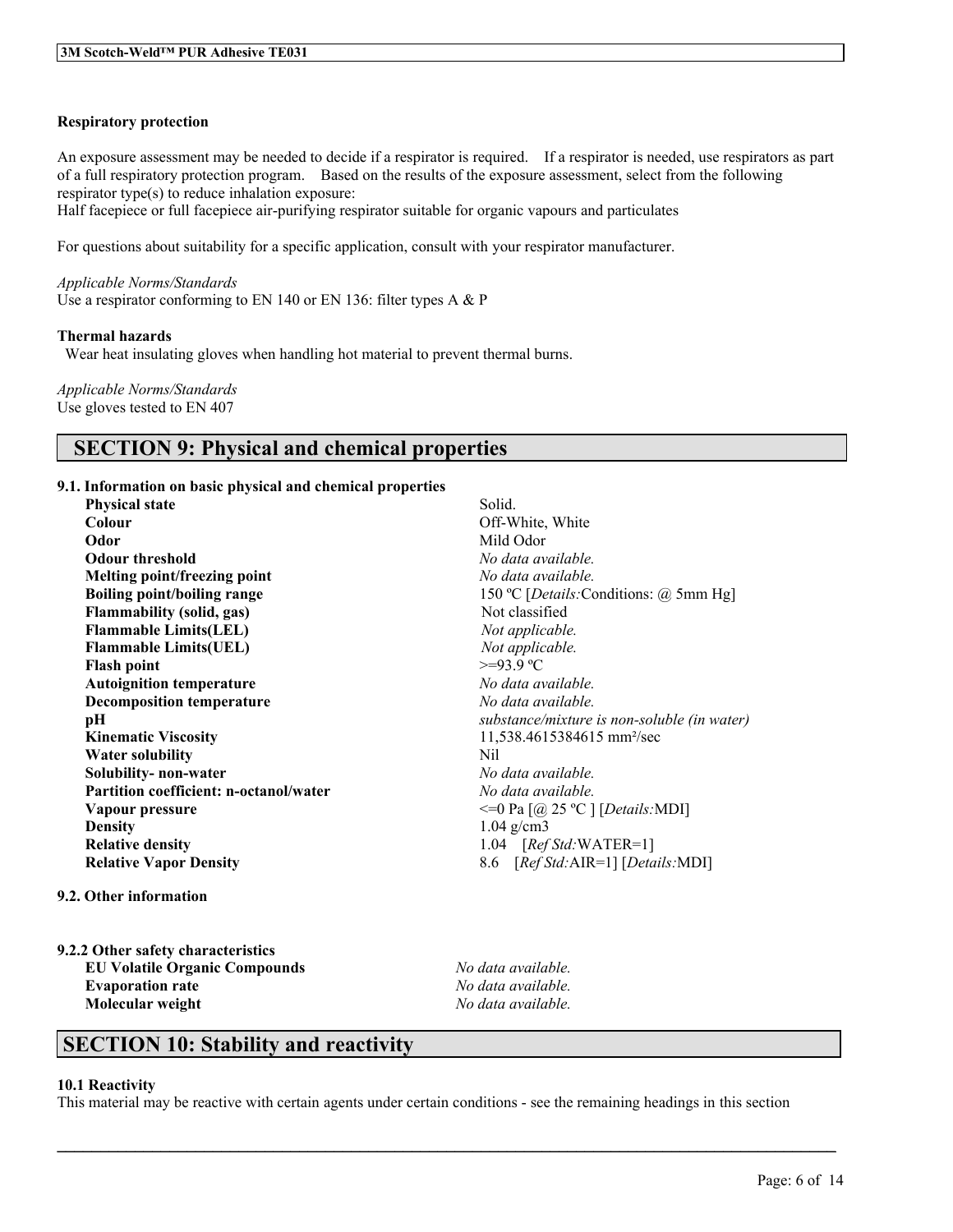### **Respiratory protection**

An exposure assessment may be needed to decide if a respirator is required. If a respirator is needed, use respirators as part of a full respiratory protection program. Based on the results of the exposure assessment, select from the following respirator type(s) to reduce inhalation exposure:

Half facepiece or full facepiece air-purifying respirator suitable for organic vapours and particulates

For questions about suitability for a specific application, consult with your respirator manufacturer.

*Applicable Norms/Standards* Use a respirator conforming to EN 140 or EN 136: filter types A & P

#### **Thermal hazards**

Wear heat insulating gloves when handling hot material to prevent thermal burns.

*Applicable Norms/Standards* Use gloves tested to EN 407

## **SECTION 9: Physical and chemical properties**

### **9.1. Information on basic physical and chemical properties**

| <b>Physical state</b>                         | Solid.                                          |  |
|-----------------------------------------------|-------------------------------------------------|--|
| Colour                                        | Off-White, White                                |  |
| Odor                                          | Mild Odor                                       |  |
| <b>Odour threshold</b>                        | No data available.                              |  |
| Melting point/freezing point                  | No data available.                              |  |
| <b>Boiling point/boiling range</b>            | 150 °C [ <i>Details</i> : Conditions: @ 5mm Hg] |  |
| <b>Flammability (solid, gas)</b>              | Not classified                                  |  |
| <b>Flammable Limits(LEL)</b>                  | Not applicable.                                 |  |
| <b>Flammable Limits(UEL)</b>                  | Not applicable.                                 |  |
| <b>Flash point</b>                            | $>=93.9$ °C                                     |  |
| <b>Autoignition temperature</b>               | No data available.                              |  |
| <b>Decomposition temperature</b>              | No data available.                              |  |
| pН                                            | substance/mixture is non-soluble (in water)     |  |
| <b>Kinematic Viscosity</b>                    | 11,538.4615384615 mm <sup>2</sup> /sec          |  |
| Water solubility                              | Nil                                             |  |
| Solubility- non-water                         | No data available.                              |  |
| <b>Partition coefficient: n-octanol/water</b> | No data available.                              |  |
| Vapour pressure                               | $\leq$ =0 Pa [@ 25 °C ] [Details:MDI]           |  |
| <b>Density</b>                                | $1.04$ g/cm3                                    |  |
| <b>Relative density</b>                       | 1.04 $[RefStd:WATER=1]$                         |  |
| <b>Relative Vapor Density</b>                 | 8.6 [Ref Std: AIR=1] [Details: MDI]             |  |

#### **9.2. Other information**

**9.2.2 Other safety characteristics EU Volatile Organic Compounds** *No data available.* **Evaporation rate** *No data available.* **Molecular weight** *No data available.*

# **SECTION 10: Stability and reactivity**

#### **10.1 Reactivity**

This material may be reactive with certain agents under certain conditions - see the remaining headings in this section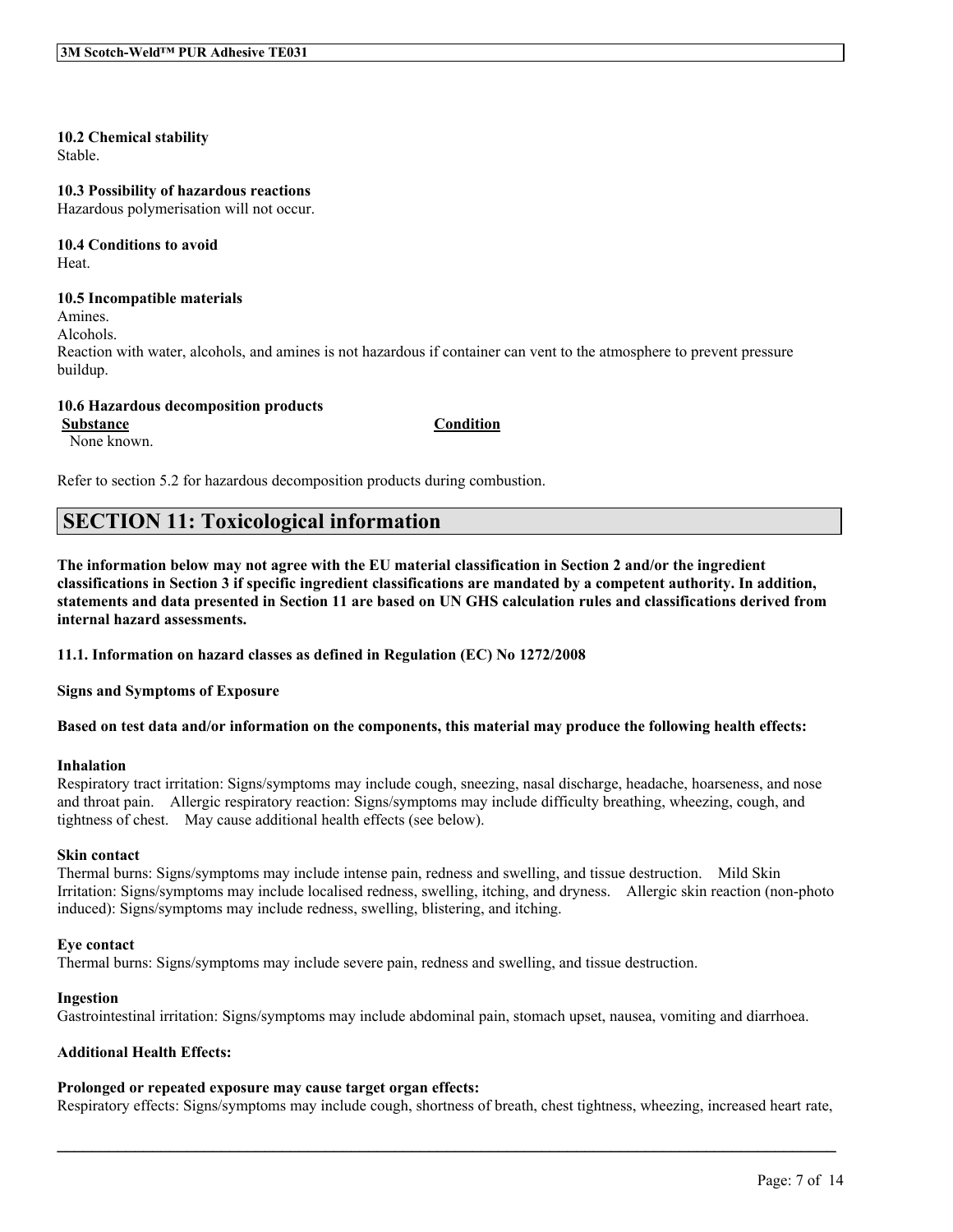### **10.2 Chemical stability**

Stable.

#### **10.3 Possibility of hazardous reactions**

Hazardous polymerisation will not occur.

# **10.4 Conditions to avoid**

Heat.

### **10.5 Incompatible materials**

Amines.

Alcohols.

Reaction with water, alcohols, and amines is not hazardous if container can vent to the atmosphere to prevent pressure buildup.

### **10.6 Hazardous decomposition products**

**Substance Condition**

None known.

Refer to section 5.2 for hazardous decomposition products during combustion.

# **SECTION 11: Toxicological information**

The information below may not agree with the EU material classification in Section 2 and/or the ingredient classifications in Section 3 if specific ingredient classifications are mandated by a competent authority. In addition, statements and data presented in Section 11 are based on UN GHS calculation rules and classifications derived from **internal hazard assessments.**

**11.1. Information on hazard classes as defined in Regulation (EC) No 1272/2008**

**Signs and Symptoms of Exposure**

Based on test data and/or information on the components, this material may produce the following health effects:

#### **Inhalation**

Respiratory tract irritation: Signs/symptoms may include cough, sneezing, nasal discharge, headache, hoarseness, and nose and throat pain. Allergic respiratory reaction: Signs/symptoms may include difficulty breathing, wheezing, cough, and tightness of chest. May cause additional health effects (see below).

### **Skin contact**

Thermal burns: Signs/symptoms may include intense pain, redness and swelling, and tissue destruction. Mild Skin Irritation: Signs/symptoms may include localised redness, swelling, itching, and dryness. Allergic skin reaction (non-photo induced): Signs/symptoms may include redness, swelling, blistering, and itching.

#### **Eye contact**

Thermal burns: Signs/symptoms may include severe pain, redness and swelling, and tissue destruction.

#### **Ingestion**

Gastrointestinal irritation: Signs/symptoms may include abdominal pain, stomach upset, nausea, vomiting and diarrhoea.

### **Additional Health Effects:**

## **Prolonged or repeated exposure may cause target organ effects:**

Respiratory effects: Signs/symptoms may include cough, shortness of breath, chest tightness, wheezing, increased heart rate,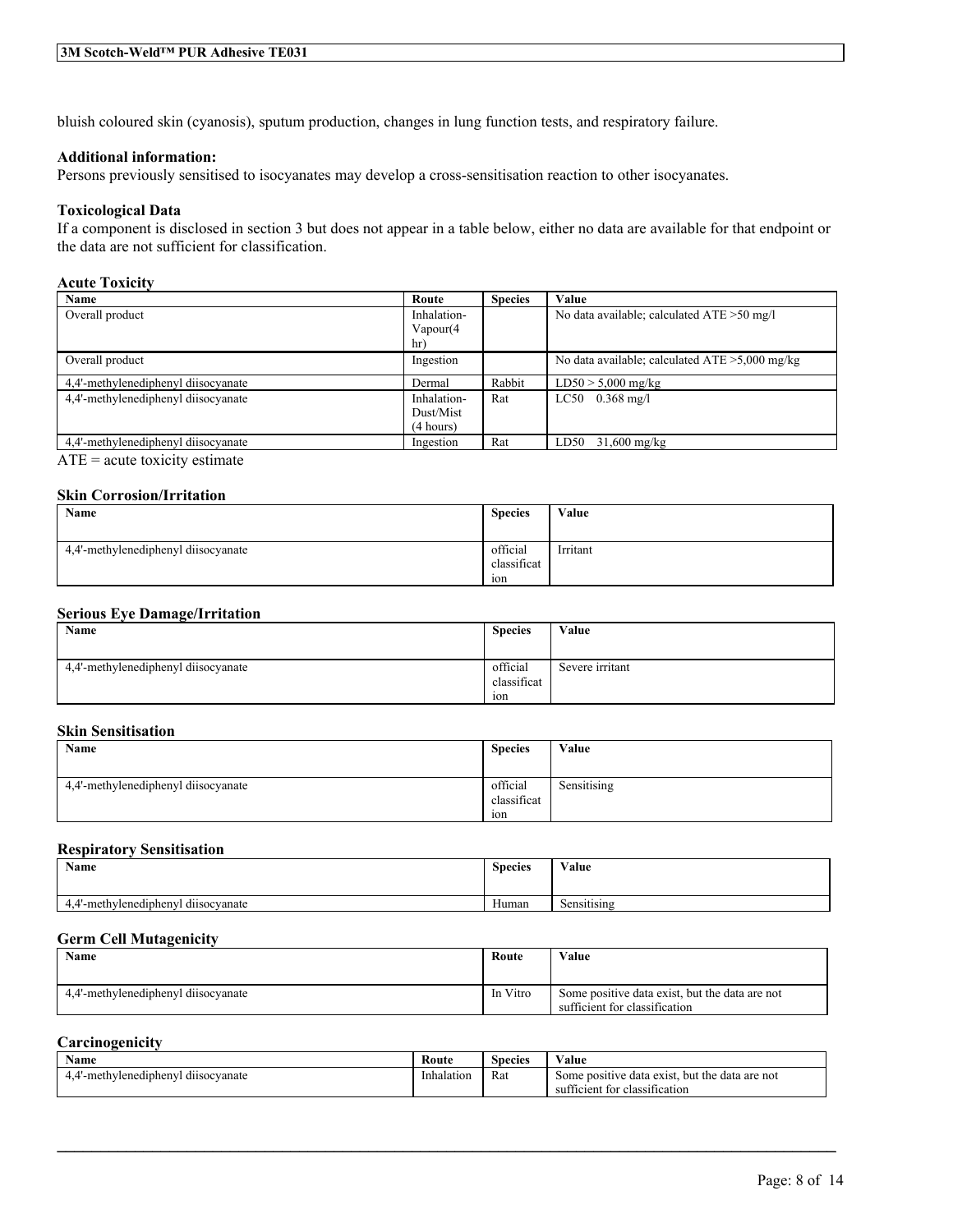bluish coloured skin (cyanosis), sputum production, changes in lung function tests, and respiratory failure.

### **Additional information:**

Persons previously sensitised to isocyanates may develop a cross-sensitisation reaction to other isocyanates.

### **Toxicological Data**

If a component is disclosed in section 3 but does not appear in a table below, either no data are available for that endpoint or the data are not sufficient for classification.

## **Acute Toxicity**

| Name                                                                                                                                                                                                                                                                                                                               | Route       | <b>Species</b> | Value                                             |
|------------------------------------------------------------------------------------------------------------------------------------------------------------------------------------------------------------------------------------------------------------------------------------------------------------------------------------|-------------|----------------|---------------------------------------------------|
| Overall product                                                                                                                                                                                                                                                                                                                    | Inhalation- |                | No data available; calculated $ATE > 50$ mg/l     |
|                                                                                                                                                                                                                                                                                                                                    | Vapour(4    |                |                                                   |
|                                                                                                                                                                                                                                                                                                                                    | hr)         |                |                                                   |
| Overall product                                                                                                                                                                                                                                                                                                                    | Ingestion   |                | No data available; calculated $ATE > 5,000$ mg/kg |
| 4,4'-methylenediphenyl diisocyanate                                                                                                                                                                                                                                                                                                | Dermal      | Rabbit         | $LD50 > 5,000$ mg/kg                              |
| 4.4'-methylenediphenyl diisocyanate                                                                                                                                                                                                                                                                                                | Inhalation- | Rat            | $LC50$ 0.368 mg/l                                 |
|                                                                                                                                                                                                                                                                                                                                    | Dust/Mist   |                |                                                   |
|                                                                                                                                                                                                                                                                                                                                    | (4 hours)   |                |                                                   |
| 4.4'-methylenediphenyl diisocyanate                                                                                                                                                                                                                                                                                                | Ingestion   | Rat            | LD50<br>$31,600 \text{ mg/kg}$                    |
| $\overline{a}$ and $\overline{a}$ and $\overline{a}$ and $\overline{a}$ and $\overline{a}$ and $\overline{a}$ and $\overline{a}$ and $\overline{a}$ and $\overline{a}$ and $\overline{a}$ and $\overline{a}$ and $\overline{a}$ and $\overline{a}$ and $\overline{a}$ and $\overline{a}$ and $\overline{a}$ and $\overline{a}$ and |             |                |                                                   |

ATE = acute toxicity estimate

### **Skin Corrosion/Irritation**

| Name                                | <b>Species</b>                             | Value    |
|-------------------------------------|--------------------------------------------|----------|
| 4,4'-methylenediphenyl diisocyanate | official<br>classificat<br>10 <sub>n</sub> | Irritant |

#### **Serious Eye Damage/Irritation**

| <b>Name</b>                         | <b>Species</b>                 | Value           |
|-------------------------------------|--------------------------------|-----------------|
| 4,4'-methylenediphenyl diisocyanate | official<br>classificat<br>10n | Severe irritant |

#### **Skin Sensitisation**

| Name                                | <b>Species</b> | Value       |
|-------------------------------------|----------------|-------------|
|                                     |                |             |
| 4,4'-methylenediphenyl diisocyanate | official       | Sensitising |
|                                     | classificat    |             |
|                                     | $\sim$<br>10n  |             |

#### **Respiratory Sensitisation**

| <b>Name</b>                                   | <b>Species</b> | $X$ $Y$ $Y$<br>⁄ alue        |
|-----------------------------------------------|----------------|------------------------------|
|                                               |                |                              |
| $\cdots$<br>-methylenediphenyl<br>dusocyanate | Human          | . .<br>$\sim$<br>Sensitising |

#### **Germ Cell Mutagenicity**

| Name                                | Route    | Value                                                                           |
|-------------------------------------|----------|---------------------------------------------------------------------------------|
| 4.4'-methylenediphenyl diisocyanate | In Vitro | Some positive data exist, but the data are not<br>sufficient for classification |

#### **Carcinogenicity**

| Name                                                                    | Route      | Species | Value                                                     |
|-------------------------------------------------------------------------|------------|---------|-----------------------------------------------------------|
| $\sim$ $\sim$ $\sim$<br>thylenediphenyl:<br>dusocvanate<br>-meth<br>т.- | Inhalation | Rat     | but the<br>data are not<br>data exist<br>positive<br>Some |
|                                                                         |            |         | $\sim$<br>fficient for<br>classification<br>su            |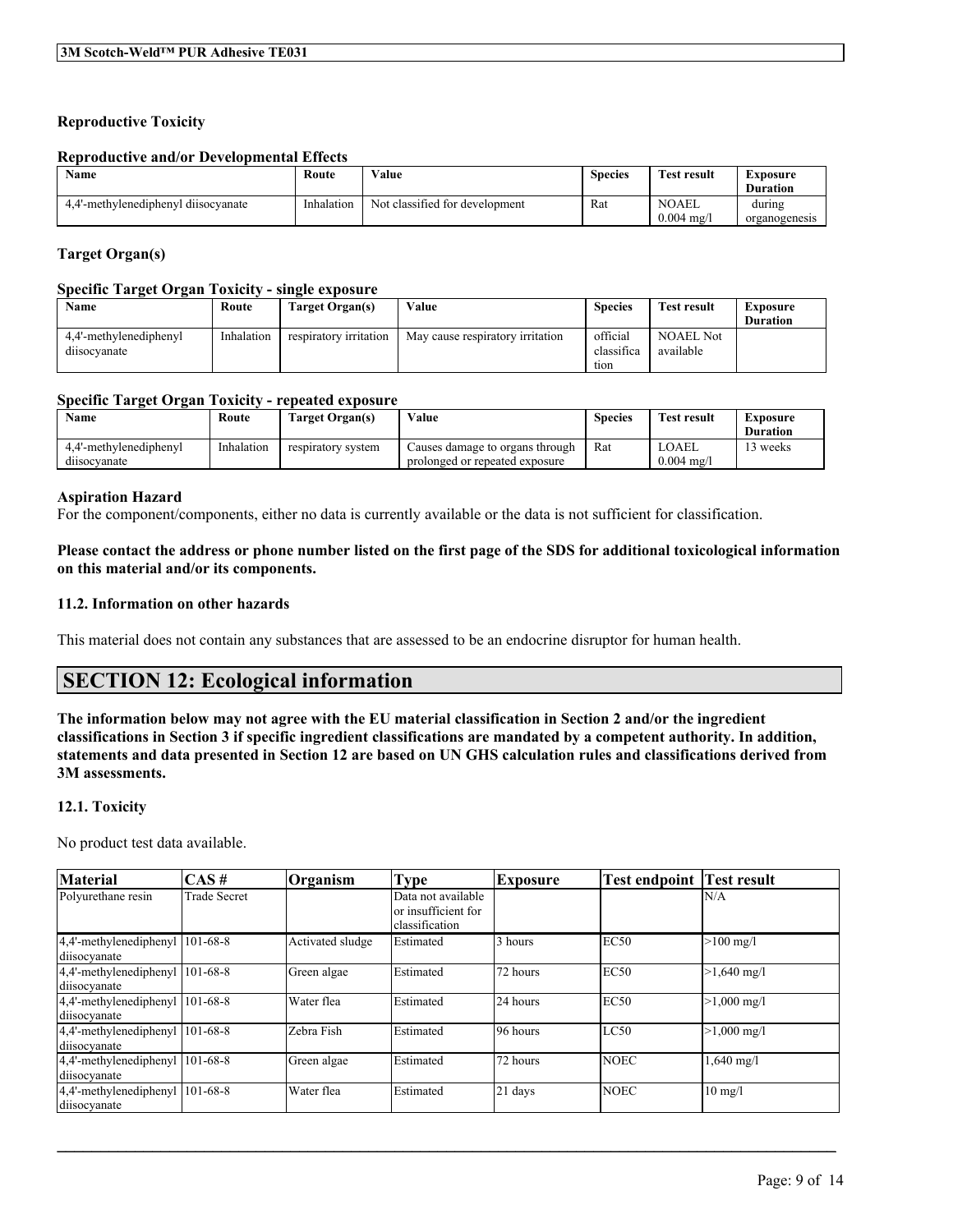## **Reproductive Toxicity**

#### **Reproductive and/or Developmental Effects**

| <b>Name</b>                         | Route      | Value                          | <b>Species</b> | <b>Test result</b>                   | Exposure<br><b>Duration</b> |
|-------------------------------------|------------|--------------------------------|----------------|--------------------------------------|-----------------------------|
| 4.4'-methylenediphenyl diisocyanate | Inhalation | Not classified for development | Rat            | <b>NOAEL</b><br>$0.004 \text{ m}$ g/ | during<br>organogenesis     |

#### **Target Organ(s)**

#### **Specific Target Organ Toxicity - single exposure**

| Name                                  | Route      | Target Organ(s)        | Value                            | <b>Species</b>                 | <b>Test result</b>            | Exposure<br><b>Duration</b> |
|---------------------------------------|------------|------------------------|----------------------------------|--------------------------------|-------------------------------|-----------------------------|
| 4.4'-methylenediphenyl<br>dusocvanate | Inhalation | respiratory irritation | May cause respiratory irritation | official<br>classifica<br>tion | <b>NOAEL Not</b><br>available |                             |

#### **Specific Target Organ Toxicity - repeated exposure**

| Name                                  | Route      | Target Organ(s)    | Value                                                             | <b>Species</b> | <b>Test result</b>             | Exposure<br><b>Duration</b> |
|---------------------------------------|------------|--------------------|-------------------------------------------------------------------|----------------|--------------------------------|-----------------------------|
| 4.4'-methylenediphenyl<br>dusocvanate | Inhalation | respiratory system | Causes damage to organs through<br>prolonged or repeated exposure | Rat            | LOAEL<br>$0.004 \text{ mg}$ /l | ' weeks                     |

#### **Aspiration Hazard**

For the component/components, either no data is currently available or the data is not sufficient for classification.

### Please contact the address or phone number listed on the first page of the SDS for additional toxicological information **on this material and/or its components.**

#### **11.2. Information on other hazards**

This material does not contain any substances that are assessed to be an endocrine disruptor for human health.

# **SECTION 12: Ecological information**

The information below may not agree with the EU material classification in Section 2 and/or the ingredient classifications in Section 3 if specific ingredient classifications are mandated by a competent authority. In addition, statements and data presented in Section 12 are based on UN GHS calculation rules and classifications derived from **3M assessments.**

#### **12.1. Toxicity**

No product test data available.

| <b>Material</b>                                 | $\overline{CAS}$ #  | Organism         | <b>Type</b>                                                 | <b>Exposure</b> | <b>Test endpoint</b> | Test result           |
|-------------------------------------------------|---------------------|------------------|-------------------------------------------------------------|-----------------|----------------------|-----------------------|
| Polyurethane resin                              | <b>Trade Secret</b> |                  | Data not available<br>or insufficient for<br>classification |                 |                      | N/A                   |
| 4,4'-methylenediphenyl 101-68-8<br>diisocyanate |                     | Activated sludge | Estimated                                                   | 3 hours         | EC50                 | $>100$ mg/l           |
| 4,4'-methylenediphenyl 101-68-8<br>diisocyanate |                     | Green algae      | Estimated                                                   | 72 hours        | EC <sub>50</sub>     | $>1,640$ mg/l         |
| 4,4'-methylenediphenyl 101-68-8<br>diisocyanate |                     | Water flea       | Estimated                                                   | 24 hours        | EC50                 | $>1,000$ mg/l         |
| 4,4'-methylenediphenyl 101-68-8<br>diisocyanate |                     | Zebra Fish       | Estimated                                                   | 96 hours        | LC50                 | $>1,000 \text{ mg/l}$ |
| 4,4'-methylenediphenyl 101-68-8<br>diisocyanate |                     | Green algae      | Estimated                                                   | 72 hours        | <b>NOEC</b>          | $1,640 \text{ mg}/1$  |
| 4,4'-methylenediphenyl 101-68-8<br>diisocyanate |                     | Water flea       | Estimated                                                   | 21 days         | <b>NOEC</b>          | $10 \text{ mg}/l$     |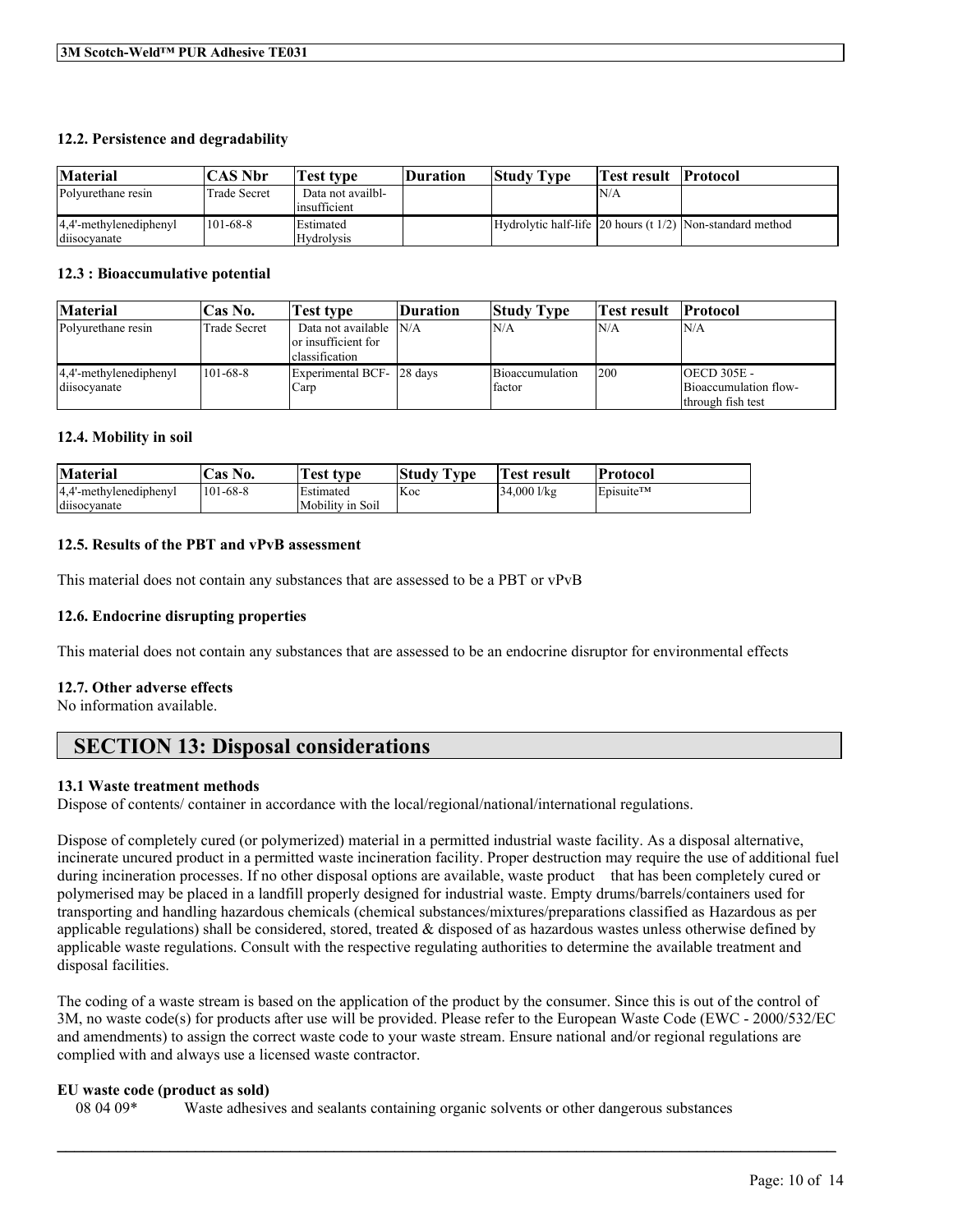### **12.2. Persistence and degradability**

| <b>Material</b>                        | <b>CAS Nbr</b>      | Test type                             | Duration | <b>Study Type</b> | <b>Test result Protocol</b> |                                                           |
|----------------------------------------|---------------------|---------------------------------------|----------|-------------------|-----------------------------|-----------------------------------------------------------|
| Polvurethane resin                     | <b>Trade Secret</b> | Data not availbl-<br>insufficient     |          |                   | 'N/A                        |                                                           |
| 4,4'-methylenediphenyl<br>diisocvanate | $101-68-8$          | <b>Estimated</b><br><b>Hydrolysis</b> |          |                   |                             | Hydrolytic half-life 20 hours (t 1/2) Non-standard method |

#### **12.3 : Bioaccumulative potential**

| <b>Material</b>                        | 'Cas No.            | Test type                                                       | <b>Duration</b> | <b>Study Type</b>         | Test result | <b>Protocol</b>                                                    |
|----------------------------------------|---------------------|-----------------------------------------------------------------|-----------------|---------------------------|-------------|--------------------------------------------------------------------|
| Polyurethane resin                     | <b>Trade Secret</b> | Data not available N/A<br>or insufficient for<br>classification |                 | N/A                       | N/A         | IN/A                                                               |
| 4.4'-methylenediphenyl<br>diisocyanate | $101-68-8$          | Experimental BCF- 28 days<br>Carp                               |                 | Bioaccumulation<br>factor | 1200        | $OECD$ 305E -<br><b>Bioaccumulation flow-</b><br>through fish test |

### **12.4. Mobility in soil**

| <b>Material</b>        | <b>Cas No.</b> | . rest type      | <b>Study Type</b> | Vest result | Protocol                           |
|------------------------|----------------|------------------|-------------------|-------------|------------------------------------|
| 4.4'-methylenediphenyl | 101-68-8       | Estimated        | <b>Koc</b>        | 34,000 l/kg | $\mathsf{E}$ pisuite <sup>TM</sup> |
| diisocyanate           |                | Mobility in Soil |                   |             |                                    |

### **12.5. Results of the PBT and vPvB assessment**

This material does not contain any substances that are assessed to be a PBT or vPvB

#### **12.6. Endocrine disrupting properties**

This material does not contain any substances that are assessed to be an endocrine disruptor for environmental effects

#### **12.7. Other adverse effects**

No information available.

# **SECTION 13: Disposal considerations**

#### **13.1 Waste treatment methods**

Dispose of contents/ container in accordance with the local/regional/national/international regulations.

Dispose of completely cured (or polymerized) material in a permitted industrial waste facility. As a disposal alternative, incinerate uncured product in a permitted waste incineration facility. Proper destruction may require the use of additional fuel during incineration processes. If no other disposal options are available, waste product that has been completely cured or polymerised may be placed in a landfill properly designed for industrial waste. Empty drums/barrels/containers used for transporting and handling hazardous chemicals (chemical substances/mixtures/preparations classified as Hazardous as per applicable regulations) shall be considered, stored, treated  $\&$  disposed of as hazardous wastes unless otherwise defined by applicable waste regulations. Consult with the respective regulating authorities to determine the available treatment and disposal facilities.

The coding of a waste stream is based on the application of the product by the consumer. Since this is out of the control of 3M, no waste code(s) for products after use will be provided. Please refer to the European Waste Code (EWC - 2000/532/EC and amendments) to assign the correct waste code to your waste stream. Ensure national and/or regional regulations are complied with and always use a licensed waste contractor.

 $\mathcal{L}_\mathcal{L} = \mathcal{L}_\mathcal{L} = \mathcal{L}_\mathcal{L} = \mathcal{L}_\mathcal{L} = \mathcal{L}_\mathcal{L} = \mathcal{L}_\mathcal{L} = \mathcal{L}_\mathcal{L} = \mathcal{L}_\mathcal{L} = \mathcal{L}_\mathcal{L} = \mathcal{L}_\mathcal{L} = \mathcal{L}_\mathcal{L} = \mathcal{L}_\mathcal{L} = \mathcal{L}_\mathcal{L} = \mathcal{L}_\mathcal{L} = \mathcal{L}_\mathcal{L} = \mathcal{L}_\mathcal{L} = \mathcal{L}_\mathcal{L}$ 

#### **EU waste code (product as sold)**

08 04 09\* Waste adhesives and sealants containing organic solvents or other dangerous substances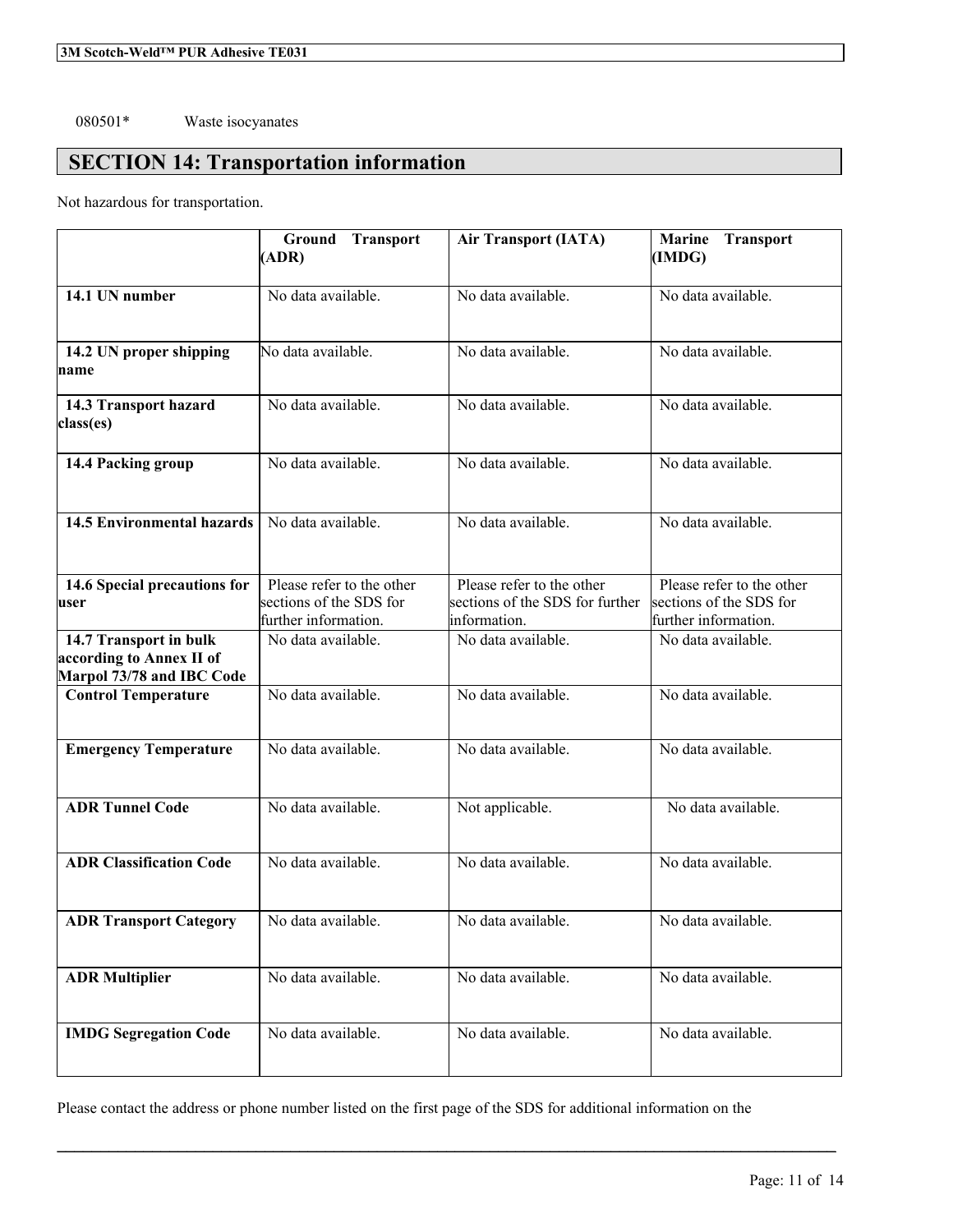## 080501\* Waste isocyanates

# **SECTION 14: Transportation information**

Not hazardous for transportation.

|                                                                                 | Ground<br><b>Transport</b><br>(ADR)                                          | <b>Air Transport (IATA)</b>                                                  | <b>Transport</b><br><b>Marine</b><br>(IMDG)                                  |
|---------------------------------------------------------------------------------|------------------------------------------------------------------------------|------------------------------------------------------------------------------|------------------------------------------------------------------------------|
| 14.1 UN number                                                                  | No data available.                                                           | No data available.                                                           | No data available.                                                           |
| 14.2 UN proper shipping<br>name                                                 | No data available.                                                           | No data available.                                                           | No data available.                                                           |
| 14.3 Transport hazard<br>class(es)                                              | No data available.                                                           | No data available.                                                           | No data available.                                                           |
| 14.4 Packing group                                                              | No data available.                                                           | No data available.                                                           | No data available.                                                           |
| <b>14.5 Environmental hazards</b>                                               | No data available.                                                           | No data available.                                                           | No data available.                                                           |
| 14.6 Special precautions for<br>user                                            | Please refer to the other<br>sections of the SDS for<br>further information. | Please refer to the other<br>sections of the SDS for further<br>information. | Please refer to the other<br>sections of the SDS for<br>further information. |
| 14.7 Transport in bulk<br>according to Annex II of<br>Marpol 73/78 and IBC Code | No data available.                                                           | No data available.                                                           | No data available.                                                           |
| <b>Control Temperature</b>                                                      | No data available.                                                           | No data available.                                                           | No data available.                                                           |
| <b>Emergency Temperature</b>                                                    | No data available.                                                           | No data available.                                                           | No data available.                                                           |
| <b>ADR Tunnel Code</b>                                                          | No data available.                                                           | Not applicable.                                                              | No data available.                                                           |
| <b>ADR Classification Code</b>                                                  | No data available.                                                           | No data available.                                                           | No data available.                                                           |
| <b>ADR Transport Category</b>                                                   | No data available.                                                           | No data available.                                                           | No data available.                                                           |
| <b>ADR Multiplier</b>                                                           | No data available.                                                           | No data available.                                                           | No data available.                                                           |
| <b>IMDG Segregation Code</b>                                                    | No data available.                                                           | No data available.                                                           | No data available.                                                           |

Please contact the address or phone number listed on the first page of the SDS for additional information on the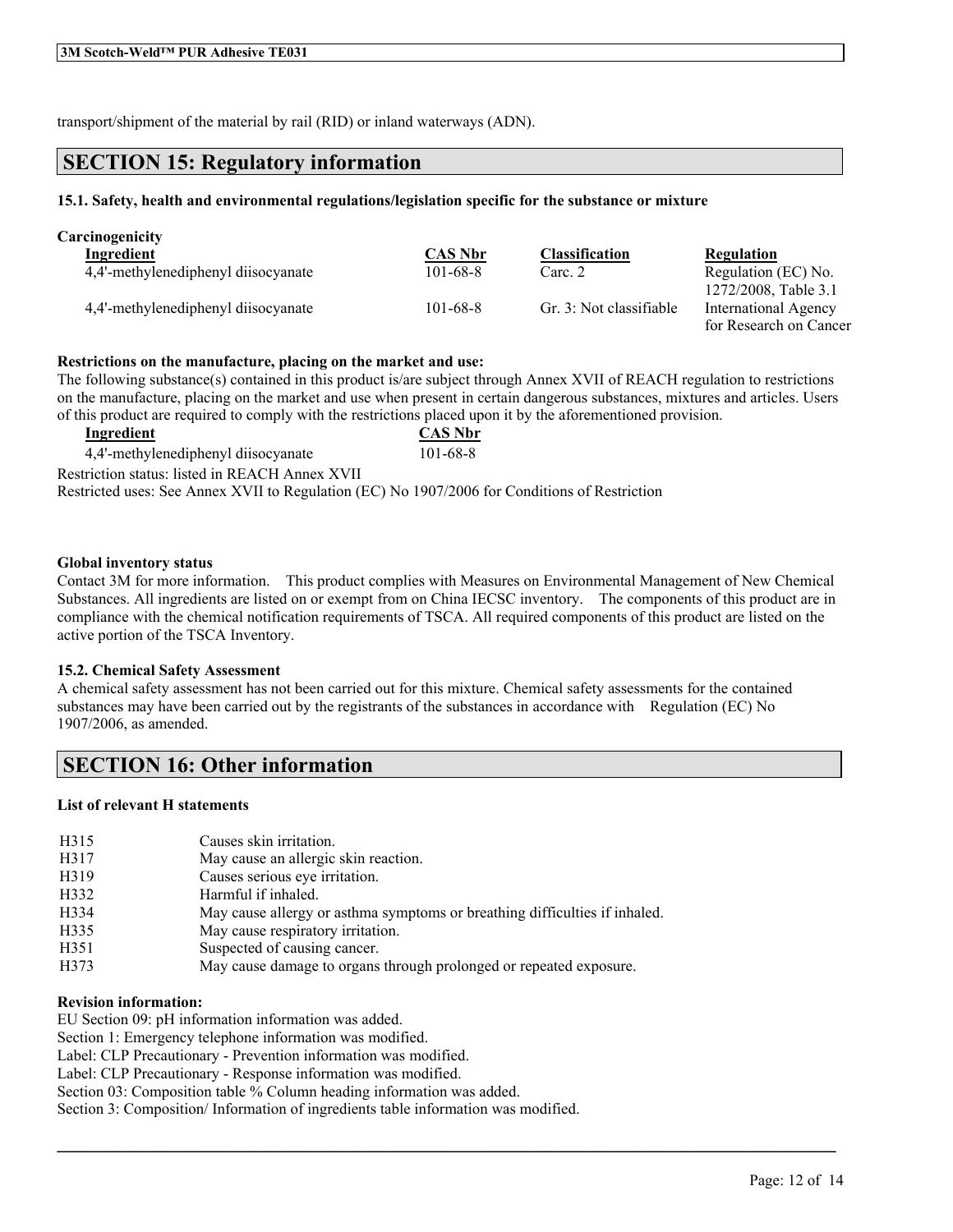transport/shipment of the material by rail (RID) or inland waterways (ADN).

## **SECTION 15: Regulatory information**

#### **15.1. Safety, health and environmental regulations/legislation specific for the substance or mixture**

| <b>Carcinogenicity</b>              |                |                         |                                              |
|-------------------------------------|----------------|-------------------------|----------------------------------------------|
| Ingredient                          | <b>CAS Nbr</b> | <b>Classification</b>   | Regulation                                   |
| 4,4'-methylenediphenyl diisocyanate | $101 - 68 - 8$ | Carc. 2                 | Regulation (EC) No.                          |
| 4,4'-methylenediphenyl diisocyanate | $101 - 68 - 8$ | Gr. 3: Not classifiable | 1272/2008, Table 3.1<br>International Agency |
|                                     |                |                         | for Research on Cancer                       |

#### **Restrictions on the manufacture, placing on the market and use:**

The following substance(s) contained in this product is/are subject through Annex XVII of REACH regulation to restrictions on the manufacture, placing on the market and use when present in certain dangerous substances, mixtures and articles. Users of this product are required to comply with the restrictions placed upon it by the aforementioned provision.

| Ingredient                                                                                    | <b>CAS Nbr</b> |
|-----------------------------------------------------------------------------------------------|----------------|
| 4.4'-methylenediphenyl diisocyanate                                                           | 101-68-8       |
| Restriction status: listed in REACH Annex XVII                                                |                |
| Restricted uses: See Annex XVII to Regulation (EC) No 1907/2006 for Conditions of Restriction |                |

#### **Global inventory status**

Contact 3M for more information. This product complies with Measures on Environmental Management of New Chemical Substances. All ingredients are listed on or exempt from on China IECSC inventory. The components of this product are in compliance with the chemical notification requirements of TSCA. All required components of this product are listed on the active portion of the TSCA Inventory.

#### **15.2. Chemical Safety Assessment**

A chemical safety assessment has not been carried out for this mixture. Chemical safety assessments for the contained substances may have been carried out by the registrants of the substances in accordance with Regulation (EC) No 1907/2006, as amended.

 $\mathcal{L}_\mathcal{L} = \mathcal{L}_\mathcal{L} = \mathcal{L}_\mathcal{L} = \mathcal{L}_\mathcal{L} = \mathcal{L}_\mathcal{L} = \mathcal{L}_\mathcal{L} = \mathcal{L}_\mathcal{L} = \mathcal{L}_\mathcal{L} = \mathcal{L}_\mathcal{L} = \mathcal{L}_\mathcal{L} = \mathcal{L}_\mathcal{L} = \mathcal{L}_\mathcal{L} = \mathcal{L}_\mathcal{L} = \mathcal{L}_\mathcal{L} = \mathcal{L}_\mathcal{L} = \mathcal{L}_\mathcal{L} = \mathcal{L}_\mathcal{L}$ 

# **SECTION 16: Other information**

### **List of relevant H statements**

| H315 | Causes skin irritation.                                                    |
|------|----------------------------------------------------------------------------|
| H317 | May cause an allergic skin reaction.                                       |
| H319 | Causes serious eye irritation.                                             |
| H332 | Harmful if inhaled.                                                        |
| H334 | May cause allergy or asthma symptoms or breathing difficulties if inhaled. |
| H335 | May cause respiratory irritation.                                          |
| H351 | Suspected of causing cancer.                                               |
| H373 | May cause damage to organs through prolonged or repeated exposure.         |
|      |                                                                            |

#### **Revision information:**

EU Section 09: pH information information was added.

Section 1: Emergency telephone information was modified.

Label: CLP Precautionary - Prevention information was modified.

Label: CLP Precautionary - Response information was modified.

Section 03: Composition table % Column heading information was added.

Section 3: Composition/ Information of ingredients table information was modified.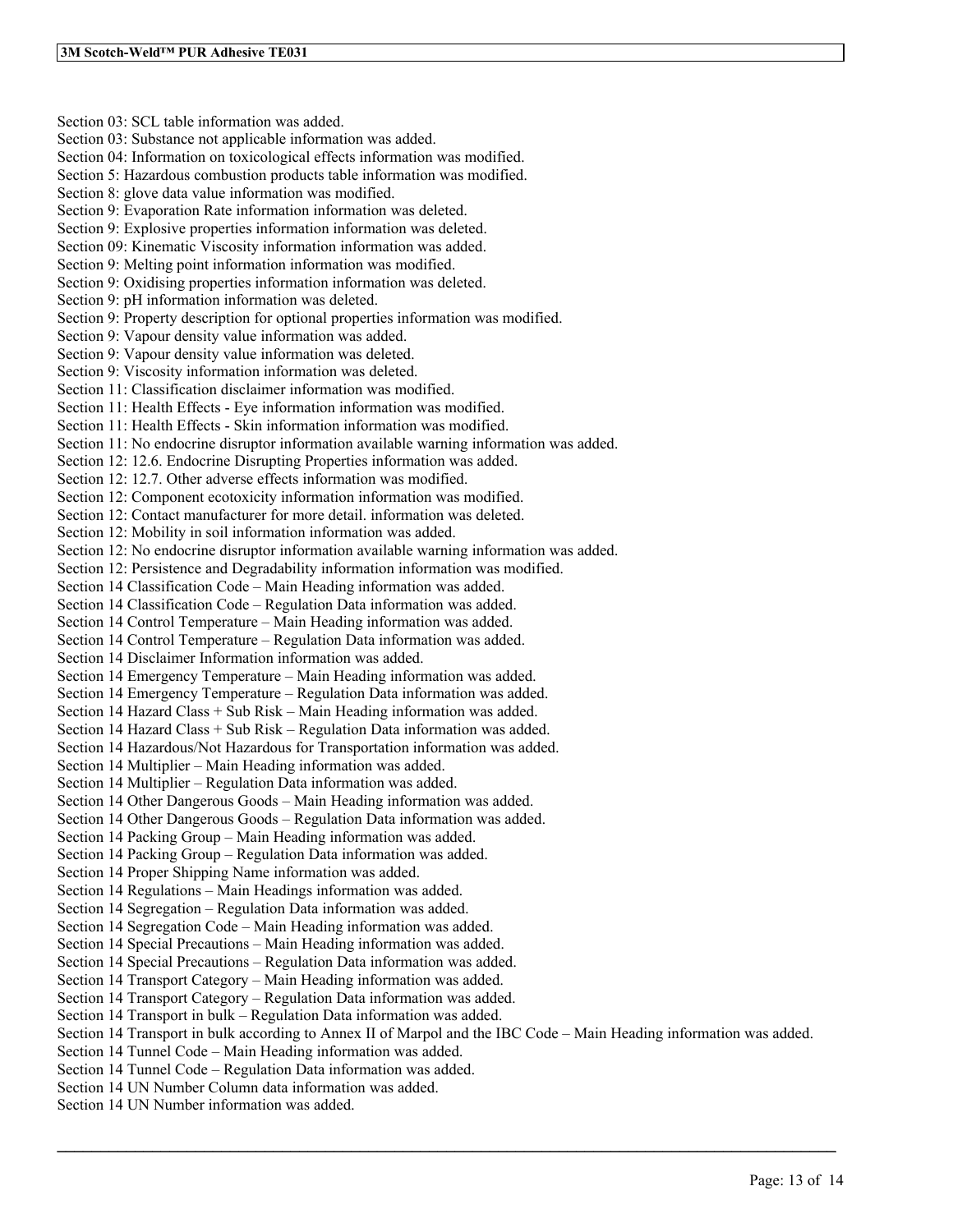Section 03: SCL table information was added. Section 03: Substance not applicable information was added. Section 04: Information on toxicological effects information was modified. Section 5: Hazardous combustion products table information was modified. Section 8: glove data value information was modified. Section 9: Evaporation Rate information information was deleted. Section 9: Explosive properties information information was deleted. Section 09: Kinematic Viscosity information information was added. Section 9: Melting point information information was modified. Section 9: Oxidising properties information information was deleted. Section 9: pH information information was deleted. Section 9: Property description for optional properties information was modified. Section 9: Vapour density value information was added. Section 9: Vapour density value information was deleted. Section 9: Viscosity information information was deleted. Section 11: Classification disclaimer information was modified. Section 11: Health Effects - Eye information information was modified. Section 11: Health Effects - Skin information information was modified. Section 11: No endocrine disruptor information available warning information was added. Section 12: 12.6. Endocrine Disrupting Properties information was added. Section 12: 12.7. Other adverse effects information was modified. Section 12: Component ecotoxicity information information was modified. Section 12: Contact manufacturer for more detail. information was deleted. Section 12: Mobility in soil information information was added. Section 12: No endocrine disruptor information available warning information was added. Section 12: Persistence and Degradability information information was modified. Section 14 Classification Code – Main Heading information was added. Section 14 Classification Code – Regulation Data information was added. Section 14 Control Temperature – Main Heading information was added. Section 14 Control Temperature – Regulation Data information was added. Section 14 Disclaimer Information information was added. Section 14 Emergency Temperature – Main Heading information was added. Section 14 Emergency Temperature – Regulation Data information was added. Section 14 Hazard Class + Sub Risk – Main Heading information was added. Section 14 Hazard Class + Sub Risk – Regulation Data information was added. Section 14 Hazardous/Not Hazardous for Transportation information was added. Section 14 Multiplier – Main Heading information was added. Section 14 Multiplier – Regulation Data information was added. Section 14 Other Dangerous Goods – Main Heading information was added. Section 14 Other Dangerous Goods – Regulation Data information was added. Section 14 Packing Group – Main Heading information was added. Section 14 Packing Group – Regulation Data information was added. Section 14 Proper Shipping Name information was added. Section 14 Regulations – Main Headings information was added. Section 14 Segregation – Regulation Data information was added. Section 14 Segregation Code – Main Heading information was added. Section 14 Special Precautions – Main Heading information was added. Section 14 Special Precautions – Regulation Data information was added. Section 14 Transport Category – Main Heading information was added. Section 14 Transport Category – Regulation Data information was added. Section 14 Transport in bulk – Regulation Data information was added. Section 14 Transport in bulk according to Annex II of Marpol and the IBC Code – Main Heading information was added. Section 14 Tunnel Code – Main Heading information was added. Section 14 Tunnel Code – Regulation Data information was added. Section 14 UN Number Column data information was added. Section 14 UN Number information was added.